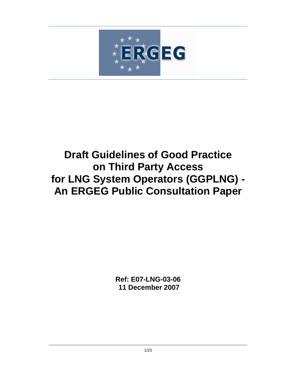

# **Draft Guidelines of Good Practice on Third Party Access for LNG System Operators (GGPLNG) - An ERGEG Public Consultation Paper**

**Ref: E07-LNG-03-06 11 December 2007**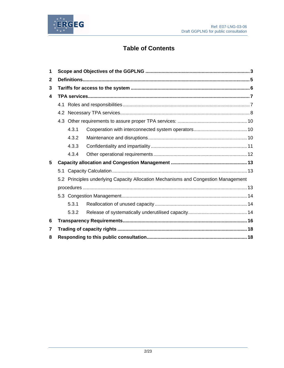

## **Table of Contents**

| 1                                                                                  |     |       |  |  |
|------------------------------------------------------------------------------------|-----|-------|--|--|
| $\mathbf{2}$                                                                       |     |       |  |  |
| 3                                                                                  |     |       |  |  |
| $\boldsymbol{4}$                                                                   |     |       |  |  |
|                                                                                    |     |       |  |  |
|                                                                                    |     |       |  |  |
|                                                                                    | 4.3 |       |  |  |
|                                                                                    |     | 4.3.1 |  |  |
|                                                                                    |     | 4.3.2 |  |  |
|                                                                                    |     | 4.3.3 |  |  |
|                                                                                    |     | 4.3.4 |  |  |
| 5                                                                                  |     |       |  |  |
|                                                                                    | 5.1 |       |  |  |
| 5.2 Principles underlying Capacity Allocation Mechanisms and Congestion Management |     |       |  |  |
|                                                                                    |     |       |  |  |
|                                                                                    |     |       |  |  |
|                                                                                    |     | 5.3.1 |  |  |
|                                                                                    |     | 5.3.2 |  |  |
| 6                                                                                  |     |       |  |  |
| 7                                                                                  |     |       |  |  |
| 8                                                                                  |     |       |  |  |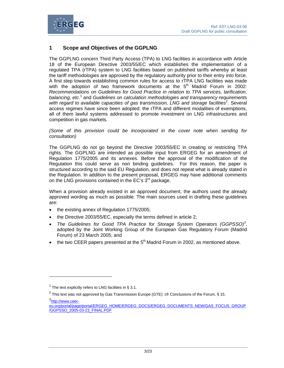

## **1 Scope and Objectives of the GGPLNG**

The GGPLNG concern Third Party Access (TPA) to LNG facilities in accordance with Article 18 of the European Directive 2003/55/EC which establishes the implementation of a regulated TPA (rTPA) system to LNG facilities based on published tariffs whereby at least the tariff methodologies are approved by the regulatory authority prior to their entry into force. A first step towards establishing common rules for access to rTPA LNG facilities was made with the adoption of two framework documents at the  $5<sup>th</sup>$  Madrid Forum in 2002: *Recommendations on Guidelines for Good Practice in relation to TPA services, tarification,*  balancing, etc.<sup>1</sup> and *Guidelines on calculation methodologies and transparency requirements* with regard to available capacities of gas transmission, LNG and storage facilities<sup>2</sup>. Several access regimes have since been adopted: the rTPA and different modalities of exemptions, all of them lawful systems addressed to promote investment on LNG infrastructures and competition in gas markets.

*(Some of this provision could be incorporated in the cover note when sending for consultation)* 

The GGPLNG do not go beyond the Directive 2003/55/EC in creating or restricting TPA rights. The GGPLNG are intended as possible input from ERGEG for an amendment of Regulation 1775/2005 and its annexes. Before the approval of the modification of the Regulation this could serve as non binding guidelines. For this reason, the paper is structured according to the said EU Regulation, and does not repeat what is already stated in the Regulation. In addition to the present proposal, ERGEG may have additional comments on the LNG provisions contained in the EC's  $3<sup>rd</sup>$  package.

When a provision already existed in an approved document, the authors used the already approved wording as much as possible. The main sources used in drafting these guidelines are:

- the existing annex of Regulation 1775/2005;
- the Directive 2003/55/EC, especially the terms defined in article 2;
- *The Guidelines for Good TPA Practice for Storage System Operators (GGPSSO)<sup>3</sup>* , adopted by the Joint Working Group of the European Gas Regulatory Forum (Madrid Forum) of 23 March 2005; and
- the two CEER papers presented at the  $5<sup>th</sup>$  Madrid Forum in 2002, as mentioned above.

<sup>3</sup>http://www.ceer-

l

<sup>&</sup>lt;sup>1</sup> The text explicitly refers to LNG facilities in § 3.1.

<sup>&</sup>lt;sup>2</sup> This text was not approved by Gas Transmission Europe (GTE): cfr Conclusions of the Forum, § 15.

eu.org/portal/page/portal/ERGEG\_HOME/ERGEG\_DOCS/ERGEG\_DOCUMENTS\_NEW/GAS\_FOCUS\_GROUP /GGPSSO\_2005-03-23\_FINAL.PDF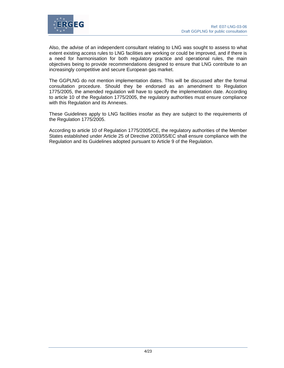

Also, the advise of an independent consultant relating to LNG was sought to assess to what extent existing access rules to LNG facilities are working or could be improved, and if there is a need for harmonisation for both regulatory practice and operational rules, the main objectives being to provide recommendations designed to ensure that LNG contribute to an increasingly competitive and secure European gas market.

The GGPLNG do not mention implementation dates. This will be discussed after the formal consultation procedure. Should they be endorsed as an amendment to Regulation 1775/2005, the amended regulation will have to specify the implementation date. According to article 10 of the Regulation 1775/2005, the regulatory authorities must ensure compliance with this Regulation and its Annexes.

These Guidelines apply to LNG facilities insofar as they are subject to the requirements of the Regulation 1775/2005.

According to article 10 of Regulation 1775/2005/CE, the regulatory authorities of the Member States established under Article 25 of Directive 2003/55/EC shall ensure compliance with the Regulation and its Guidelines adopted pursuant to Article 9 of the Regulation.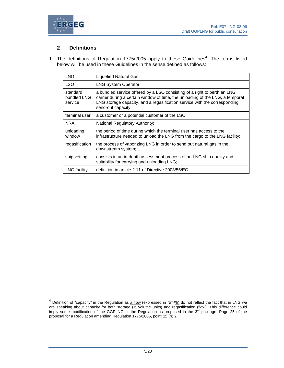



l

## **2 Definitions**

1. The definitions of Regulation  $1775/2005$  apply to these Guidelines<sup>4</sup>. The terms listed below will be used in these Guidelines in the sense defined as follows:

| <b>LNG</b>                         | Liquefied Natural Gas;                                                                                                                                                                                                                                       |
|------------------------------------|--------------------------------------------------------------------------------------------------------------------------------------------------------------------------------------------------------------------------------------------------------------|
| <b>LSO</b>                         | LNG System Operator;                                                                                                                                                                                                                                         |
| standard<br>bundled LNG<br>service | a bundled service offered by a LSO consisting of a right to berth an LNG<br>carrier during a certain window of time, the unloading of the LNG, a temporal<br>LNG storage capacity, and a regasification service with the corresponding<br>send-out capacity; |
| terminal user                      | a customer or a potential customer of the LSO;                                                                                                                                                                                                               |
| <b>NRA</b>                         | National Regulatory Authority;                                                                                                                                                                                                                               |
| unloading<br>window                | the period of time during which the terminal user has access to the<br>infrastructure needed to unload the LNG from the cargo to the LNG facility;                                                                                                           |
| regasification                     | the process of vaporizing LNG in order to send out natural gas in the<br>downstream system;                                                                                                                                                                  |
| ship vetting                       | consists in an in-depth assessment process of an LNG ship quality and<br>suitability for carrying and unloading LNG;                                                                                                                                         |
| <b>LNG</b> facility                | definition in article 2.11 of Directive 2003/55/EC.                                                                                                                                                                                                          |

<sup>&</sup>lt;sup>4</sup> Definition of "capacity" in the Regulation as  $\frac{a \text{ flow}}{b}$  (expressed in Nm<sup>3</sup>/h) do not reflect the fact that in LNG we are speaking about capacity for both storage (in volume units) and regasification (flow). This difference could<br>imply some modification of the GGPLNG or the Regulation as proposed in the 3<sup>rd</sup> package. Page 25 of the proposal for a Regulation amending Regulation 1775/2005, point (2) (b) 2.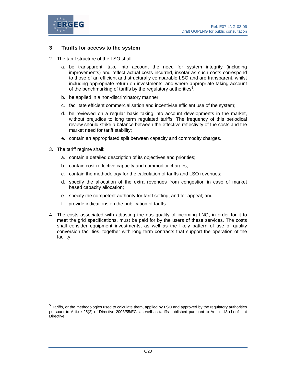

## **3 Tariffs for access to the system**

- 2. The tariff structure of the LSO shall:
	- a. be transparent, take into account the need for system integrity (including improvements) and reflect actual costs incurred, insofar as such costs correspond to those of an efficient and structurally comparable LSO and are transparent, whilst including appropriate return on investments, and where appropriate taking account of the benchmarking of tariffs by the regulatory authorities<sup>5</sup>.
	- b. be applied in a non-discriminatory manner;
	- c. facilitate efficient commercialisation and incentivise efficient use of the system;
	- d. be reviewed on a regular basis taking into account developments in the market, without prejudice to long term regulated tariffs. The frequency of this periodical review should strike a balance between the effective reflectivity of the costs and the market need for tariff stability;
	- e. contain an appropriated split between capacity and commodity charges.
- 3. The tariff regime shall:

l

- a. contain a detailed description of its objectives and priorities;
- b. contain cost-reflective capacity and commodity charges;
- c. contain the methodology for the calculation of tariffs and LSO revenues;
- d. specify the allocation of the extra revenues from congestion in case of market based capacity allocation;
- e. specify the competent authority for tariff setting, and for appeal; and
- f. provide indications on the publication of tariffs.
- 4. The costs associated with adjusting the gas quality of incoming LNG, in order for it to meet the grid specifications, must be paid for by the users of these services. The costs shall consider equipment investments, as well as the likely pattern of use of quality conversion facilities, together with long term contracts that support the operation of the facility.

 $<sup>5</sup>$  Tariffs, or the methodologies used to calculate them, applied by LSO and approved by the regulatory authorities</sup> pursuant to Article 25(2) of Directive 2003/55/EC, as well as tariffs published pursuant to Article 18 (1) of that Directive,.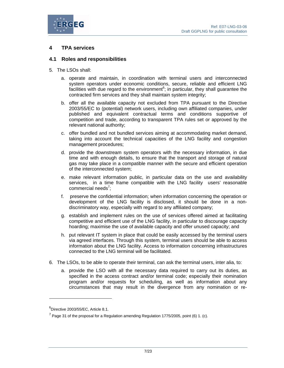

## **4 TPA services**

#### **4.1 Roles and responsibilities**

- 5. The LSOs shall:
	- a. operate and maintain, in coordination with terminal users and interconnected system operators under economic conditions, secure, reliable and efficient LNG facilities with due regard to the environment<sup>6</sup>; in particular, they shall guarantee the contracted firm services and they shall maintain system integrity;
	- b. offer all the available capacity not excluded from TPA pursuant to the Directive 2003/55/EC to (potential) network users, including own affiliated companies, under published and equivalent contractual terms and conditions supportive of competition and trade, according to transparent TPA rules set or approved by the relevant national authority;
	- c. offer bundled and not bundled services aiming at accommodating market demand, taking into account the technical capacities of the LNG facility and congestion management procedures;
	- d. provide the downstream system operators with the necessary information, in due time and with enough details, to ensure that the transport and storage of natural gas may take place in a compatible manner with the secure and efficient operation of the interconnected system;
	- e. make relevant information public, in particular data on the use and availability services, in a time frame compatible with the LNG facility users' reasonable commercial needs<sup>7</sup>;
	- f. preserve the confidential information; when information concerning the operation or development of the LNG facility is disclosed, it should be done in a nondiscriminatory way, especially with regard to any affiliated company;
	- g. establish and implement rules on the use of services offered aimed at facilitating competitive and efficient use of the LNG facility, in particular to discourage capacity hoarding; maximise the use of available capacity and offer unused capacity; and
	- h. put relevant IT system in place that could be easily accessed by the terminal users via agreed interfaces. Through this system, terminal users should be able to access information about the LNG facility. Access to information concerning infrastructures connected to the LNG terminal will be facilitated.
- 6. The LSOs, to be able to operate their terminal, can ask the terminal users, inter alia, to:
	- a. provide the LSO with all the necessary data required to carry out its duties, as specified in the access contract and/or terminal code; especially their nomination program and/or requests for scheduling, as well as information about any circumstances that may result in the divergence from any nomination or re-

 $\overline{a}$ 

 ${}^{6}$ Directive 2003/55/EC, Article 8.1.

 $^7$  Page 31 of the proposal for a Regulation amending Regulation 1775/2005, point (6) 1. (c).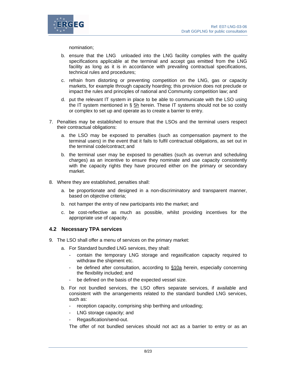

nomination;

- b. ensure that the LNG unloaded into the LNG facility complies with the quality specifications applicable at the terminal and accept gas emitted from the LNG facility as long as it is in accordance with prevailing contractual specifications, technical rules and procedures;
- c. refrain from distorting or preventing competition on the LNG, gas or capacity markets, for example through capacity hoarding; this provision does not preclude or impact the rules and principles of national and Community competition law; and
- d. put the relevant IT system in place to be able to communicate with the LSO using the IT system mentioned in § 5h herein. These IT systems should not be so costly or complex to set up and operate as to create a barrier to entry.
- 7. Penalties may be established to ensure that the LSOs and the terminal users respect their contractual obligations:
	- a. the LSO may be exposed to penalties (such as compensation payment to the terminal users) in the event that it fails to fulfil contractual obligations, as set out in the terminal code/contract; and
	- b. the terminal user may be exposed to penalties (such as overrun and scheduling charges) as an incentive to ensure they nominate and use capacity consistently with the capacity rights they have procured either on the primary or secondary market.
- 8. Where they are established, penalties shall:
	- a. be proportionate and designed in a non-discriminatory and transparent manner, based on objective criteria;
	- b. not hamper the entry of new participants into the market; and
	- c. be cost-reflective as much as possible, whilst providing incentives for the appropriate use of capacity.

#### **4.2 Necessary TPA services**

- 9. The LSO shall offer a menu of services on the primary market:
	- a. For Standard bundled LNG services, they shall:
		- contain the temporary LNG storage and regasification capacity required to withdraw the shipment etc.
		- be defined after consultation, according to §10a herein, especially concerning the flexibility included; and
		- be defined on the basis of the expected vessel size.
	- b. For not bundled services, the LSO offers separate services, if available and consistent with the arrangements related to the standard bundled LNG services, such as:
		- reception capacity, comprising ship berthing and unloading;
		- LNG storage capacity; and
		- Regasification/send-out.

The offer of not bundled services should not act as a barrier to entry or as an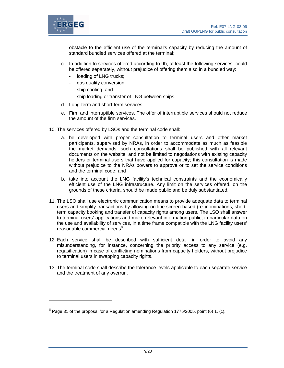

l

obstacle to the efficient use of the terminal's capacity by reducing the amount of standard bundled services offered at the terminal;

- c. In addition to services offered according to 9b, at least the following services could be offered separately, without prejudice of offering them also in a bundled way:
	- loading of LNG trucks;
	- gas quality conversion;
	- ship cooling; and
	- ship loading or transfer of LNG between ships.
- d. Long-term and short-term services.
- e. Firm and interruptible services. The offer of interruptible services should not reduce the amount of the firm services.
- 10. The services offered by LSOs and the terminal code shall:
	- a. be developed with proper consultation to terminal users and other market participants, supervised by NRAs, in order to accommodate as much as feasible the market demands; such consultations shall be published with all relevant documents on the website, and not be limited to negotiations with existing capacity holders or terminal users that have applied for capacity; this consultation is made without prejudice to the NRAs powers to approve or to set the service conditions and the terminal code; and
	- b. take into account the LNG facility's technical constraints and the economically efficient use of the LNG infrastructure. Any limit on the services offered, on the grounds of these criteria, should be made public and be duly substantiated.
- 11. The LSO shall use electronic communication means to provide adequate data to terminal users and simplify transactions by allowing on-line screen-based (re-)nominations, shortterm capacity booking and transfer of capacity rights among users. The LSO shall answer to terminal users' applications and make relevant information public, in particular data on the use and availability of services, in a time frame compatible with the LNG facility users' reasonable commercial needs<sup>8</sup>.
- 12. Each service shall be described with sufficient detail in order to avoid any misunderstanding, for instance, concerning the priority access to any service (e.g. regasification) in case of conflicting nominations from capacity holders, without prejudice to terminal users in swapping capacity rights.
- 13. The terminal code shall describe the tolerance levels applicable to each separate service and the treatment of any overrun.

 $8$  Page 31 of the proposal for a Regulation amending Regulation 1775/2005, point (6) 1. (c).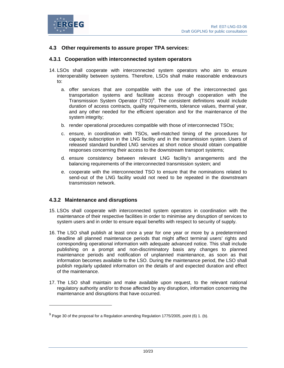

## **4.3 Other requirements to assure proper TPA services:**

## **4.3.1 Cooperation with interconnected system operators**

- 14. LSOs shall cooperate with interconnected system operators who aim to ensure interoperability between systems. Therefore, LSOs shall make reasonable endeavours to:
	- a. offer services that are compatible with the use of the interconnected gas transportation systems and facilitate access through cooperation with the Transmission System Operator  $(TSO)^9$ . The consistent definitions would include duration of access contracts, quality requirements, tolerance values, thermal year, and any other needed for the efficient operation and for the maintenance of the system integrity;
	- b. render operational procedures compatible with those of interconnected TSOs;
	- c. ensure, in coordination with TSOs, well-matched timing of the procedures for capacity subscription in the LNG facility and in the transmission system. Users of released standard bundled LNG services at short notice should obtain compatible responses concerning their access to the downstream transport systems;
	- d. ensure consistency between relevant LNG facility's arrangements and the balancing requirements of the interconnected transmission system; and
	- e. cooperate with the interconnected TSO to ensure that the nominations related to send-out of the LNG facility would not need to be repeated in the downstream transmission network.

## **4.3.2 Maintenance and disruptions**

l

- 15. LSOs shall cooperate with interconnected system operators in coordination with the maintenance of their respective facilities in order to minimise any disruption of services to system users and in order to ensure equal benefits with respect to security of supply.
- 16. The LSO shall publish at least once a year for one year or more by a predetermined deadline all planned maintenance periods that might affect terminal users' rights and corresponding operational information with adequate advanced notice. This shall include publishing on a prompt and non-discriminatory basis any changes to planned maintenance periods and notification of unplanned maintenance, as soon as that information becomes available to the LSO. During the maintenance period, the LSO shall publish regularly updated information on the details of and expected duration and effect of the maintenance.
- 17. The LSO shall maintain and make available upon request, to the relevant national regulatory authority and/or to those affected by any disruption, information concerning the maintenance and disruptions that have occurred.

 $^{9}$  Page 30 of the proposal for a Regulation amending Regulation 1775/2005, point (6) 1. (b).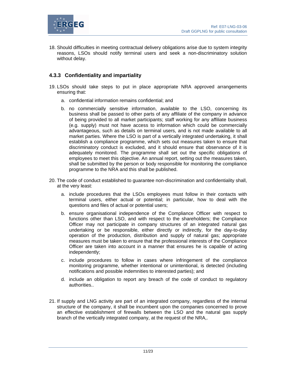

18. Should difficulties in meeting contractual delivery obligations arise due to system integrity reasons, LSOs should notify terminal users and seek a non-discriminatory solution without delay.

## **4.3.3 Confidentiality and impartiality**

- 19. LSOs should take steps to put in place appropriate NRA approved arrangements ensuring that:
	- a. confidential information remains confidential; and
	- b. no commercially sensitive information, available to the LSO, concerning its business shall be passed to other parts of any affiliate of the company in advance of being provided to all market participants; staff working for any affiliate business (e.g. supply) must not have access to information which could be commercially advantageous, such as details on terminal users, and is not made available to all market parties. Where the LSO is part of a vertically integrated undertaking, it shall establish a compliance programme, which sets out measures taken to ensure that discriminatory conduct is excluded, and it should ensure that observance of it is adequately monitored. The programme shall set out the specific obligations of employees to meet this objective. An annual report, setting out the measures taken, shall be submitted by the person or body responsible for monitoring the compliance programme to the NRA and this shall be published.
- 20. The code of conduct established to guarantee non-discrimination and confidentiality shall, at the very least:
	- a. include procedures that the LSOs employees must follow in their contacts with terminal users, either actual or potential; in particular, how to deal with the questions and files of actual or potential users;
	- b. ensure organisational independence of the Compliance Officer with respect to functions other than LSO, and with respect to the shareholders; the Compliance Officer may not participate in company structures of an integrated natural gas undertaking or be responsible, either directly or indirectly, for the day-to-day operation of the production, distribution and supply of natural gas; appropriate measures must be taken to ensure that the professional interests of the Compliance Officer are taken into account in a manner that ensures he is capable of acting independently;
	- c. include procedures to follow in cases where infringement of the compliance monitoring programme, whether intentional or unintentional, is detected (including notifications and possible indemnities to interested parties); and
	- d. include an obligation to report any breach of the code of conduct to regulatory authorities
- 21. If supply and LNG activity are part of an integrated company, regardless of the internal structure of the company, it shall be incumbent upon the companies concerned to prove an effective establishment of firewalls between the LSO and the natural gas supply branch of the vertically integrated company, at the request of the NRA,.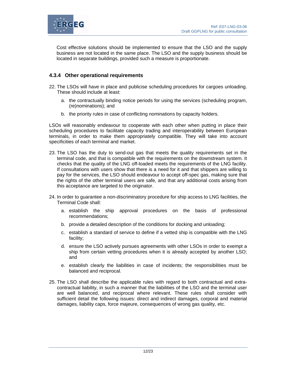

Cost effective solutions should be implemented to ensure that the LSO and the supply business are not located in the same place. The LSO and the supply business should be located in separate buildings, provided such a measure is proportionate.

## **4.3.4 Other operational requirements**

- 22. The LSOs will have in place and publicise scheduling procedures for cargoes unloading. These should include at least:
	- a. the contractually binding notice periods for using the services (scheduling program, (re)nominations); and
	- b. the priority rules in case of conflicting nominations by capacity holders.

LSOs will reasonably endeavour to cooperate with each other when putting in place their scheduling procedures to facilitate capacity trading and interoperability between European terminals, in order to make them appropriately compatible. They will take into account specificities of each terminal and market.

- 23. The LSO has the duty to send-out gas that meets the quality requirements set in the terminal code, and that is compatible with the requirements on the downstream system. It checks that the quality of the LNG off-loaded meets the requirements of the LNG facility. If consultations with users show that there is a need for it and that shippers are willing to pay for the services, the LSO should endeavour to accept off-spec gas, making sure that the rights of the other terminal users are safe, and that any additional costs arising from this acceptance are targeted to the originator.
- 24. In order to guarantee a non-discriminatory procedure for ship access to LNG facilities, the Terminal Code shall:
	- a. establish the ship approval procedures on the basis of professional recommendations;
	- b. provide a detailed description of the conditions for docking and unloading;
	- c. establish a standard of service to define if a vetted ship is compatible with the LNG facility;
	- d. ensure the LSO actively pursues agreements with other LSOs in order to exempt a ship from certain vetting procedures when it is already accepted by another LSO; and
	- e. establish clearly the liabilities in case of incidents; the responsibilities must be balanced and reciprocal.
- 25. The LSO shall describe the applicable rules with regard to both contractual and extracontractual liability, in such a manner that the liabilities of the LSO and the terminal user are well balanced, and reciprocal where relevant. These rules shall consider with sufficient detail the following issues: direct and indirect damages, corporal and material damages, liability caps, force majeure, consequences of wrong gas quality, etc.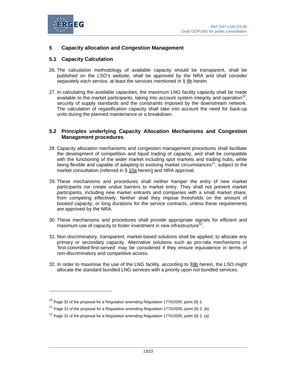

 $\overline{a}$ 

## **5 Capacity allocation and Congestion Management**

## **5.1 Capacity Calculation**

- 26. The calculation methodology of available capacity should be transparent, shall be published on the LSO's website, shall be approved by the NRA and shall consider separately each service, at least the services mentioned in § 9b herein.
- 27. In calculating the available capacities, the maximum LNG facility capacity shall be made available to the market participants, taking into account system integrity and operation<sup>10</sup>, security of supply standards and the constraints imposed by the downstream network. The calculation of regasification capacity shall take into account the need for back-up units during the planned maintenance or a breakdown.

## **5.2 Principles underlying Capacity Allocation Mechanisms and Congestion Management procedures**

- 28. Capacity allocation mechanisms and congestion management procedures shall facilitate the development of competition and liquid trading of capacity, and shall be compatible with the functioning of the wider market including spot markets and trading hubs, while being flexible and capable of adapting to evolving market circumstances<sup>11</sup>, subject to the market consultation (referred in § 10a herein) and NRA approval.
- 29. These mechanisms and procedures shall neither hamper the entry of new market participants nor create undue barriers to market entry. They shall not prevent market participants, including new market entrants and companies with a small market share, from competing effectively. Neither shall they impose thresholds on the amount of booked capacity, or long durations for the service contracts, unless these requirements are approved by the NRA.
- 30. These mechanisms and procedures shall provide appropriate signals for efficient and maximum use of capacity to foster investment in new infrastructure<sup>12</sup>.
- 31. Non discriminatory, transparent, market-based solutions shall be applied, to allocate any primary or secondary capacity. Alternative solutions such as pro-rata mechanisms or 'first-committed-first-served' may be considered if they ensure equivalence in terms of non-discriminatory and competitive access.
- 32. In order to maximise the use of the LNG facility, according to §9b herein, the LSO might allocate the standard bundled LNG services with a priority upon not bundled services.

 $10$  Page 32 of the proposal for a Regulation amending Regulation 1775/2005, point (8) 1.

 $11$  Page 32 of the proposal for a Regulation amending Regulation 1775/2005, point (8) 2. (b).

 $12$  Page 32 of the proposal for a Regulation amending Regulation 1775/2005, point (8) 2. (a).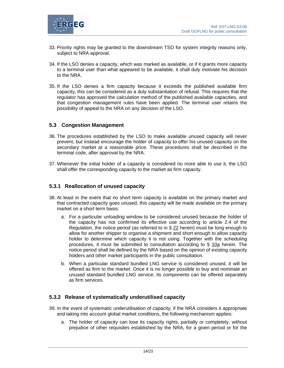

- 33. Priority rights may be granted to the downstream TSO for system integrity reasons only, subject to NRA approval.
- 34. If the LSO denies a capacity, which was marked as available, or if it grants more capacity to a terminal user than what appeared to be available, it shall duly motivate his decision to the NRA.
- 35. If the LSO denies a firm capacity because it exceeds the published available firm capacity, this can be considered as a duly substantiation of refusal. This requires that the regulator has approved the calculation method of the published available capacities, and that congestion management rules have been applied. The terminal user retains the possibility of appeal to the NRA on any decision of the LSO.

## **5.3 Congestion Management**

- 36. The procedures established by the LSO to make available unused capacity will never prevent, but instead encourage the holder of capacity to offer his unused capacity on the secondary market at a reasonable price. These procedures shall be described in the terminal code, after approval by the NRA.
- 37. Whenever the initial holder of a capacity is considered no more able to use it, the LSO shall offer the corresponding capacity to the market as firm capacity.

## **5.3.1 Reallocation of unused capacity**

- 38. At least in the event that no short term capacity is available on the primary market and that contracted capacity goes unused, this capacity will be made available on the primary market on a short term basis:
	- a. For a particular unloading window to be considered unused because the holder of the capacity has not confirmed its effective use according to article 2.4 of the Regulation, the notice period (as referred to in § 22 herein) must be long enough to allow for another shipper to organise a shipment and short enough to allow capacity holder to determine which capacity it is not using. Together with the scheduling procedures, it must be submitted to consultation according to § 10a herein. The notice period shall be defined by the NRA based on the opinion of existing capacity holders and other market participants in the public consultation.
	- b. When a particular standard bundled LNG service is considered unused, it will be offered as firm to the market. Once it is no longer possible to buy and nominate an unused standard bundled LNG service, its components can be offered separately as firm services.

#### **5.3.2 Release of systematically underutilised capacity**

- 39. In the event of systematic underutilisation of capacity, if the NRA considers it appropriate and taking into account global market conditions, the following mechanism applies:
	- a. The holder of capacity can lose its capacity rights, partially or completely, without prejudice of other requisites established by the NRA, for a given period or for the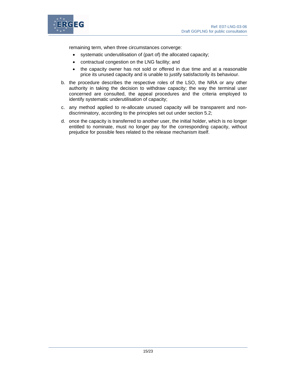

remaining term, when three circumstances converge:

- systematic underutilisation of (part of) the allocated capacity;
- contractual congestion on the LNG facility; and
- the capacity owner has not sold or offered in due time and at a reasonable price its unused capacity and is unable to justify satisfactorily its behaviour.
- b. the procedure describes the respective roles of the LSO, the NRA or any other authority in taking the decision to withdraw capacity; the way the terminal user concerned are consulted, the appeal procedures and the criteria employed to identify systematic underutilisation of capacity;
- c. any method applied to re-allocate unused capacity will be transparent and nondiscriminatory, according to the principles set out under section 5.2;
- d. once the capacity is transferred to another user, the initial holder, which is no longer entitled to nominate, must no longer pay for the corresponding capacity, without prejudice for possible fees related to the release mechanism itself.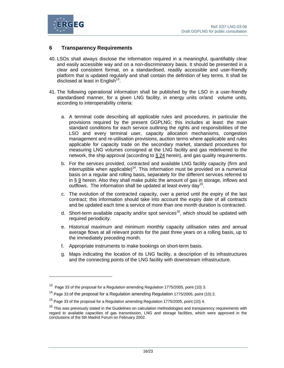

l

## **6 Transparency Requirements**

- 40. LSOs shall always disclose the information required in a meaningful, quantifiably clear and easily accessible way and on a non-discriminatory basis. It should be presented in a clear and consistent format, on a standardised, readily accessible and user-friendly platform that is updated regularly and shall contain the definition of key terms. It shall be disclosed at least in English<sup>13</sup>.
- 41. The following operational information shall be published by the LSO in a user-friendly standardised manner, for a given LNG facility, in energy units or/and volume units, according to interoperability criteria:
	- a. A terminal code describing all applicable rules and procedures, in particular the provisions required by the present GGPLNG; this includes at least: the main standard conditions for each service outlining the rights and responsibilities of the LSO and every terminal user, capacity allocation mechanisms, congestion management and re-utilisation provisions, auction terms where applicable and rules applicable for capacity trade on the secondary market, standard procedures for measuring LNG volumes consigned at the LNG facility and gas redelivered to the network, the ship approval (according to § 24 herein), and gas quality requirements.
	- b. For the services provided, contracted and available LNG facility capacity (firm and interruptible when applicable)<sup>14</sup>. This information must be provided on a numerical basis on a regular and rolling basis, separately for the different services referred to in § 9 herein. Also they shall make public the amount of gas in storage, inflows and outflows. The information shall be updated at least every day<sup>15</sup>.
	- c. The evolution of the contracted capacity, over a period until the expiry of the last contract; this information should take into account the expiry date of all contracts and be updated each time a service of more than one month duration is contracted.
	- d. Short-term available capacity and/or spot services<sup>16</sup>, which should be updated with required periodicity.
	- e. Historical maximum and minimum monthly capacity utilisation rates and annual average flows at all relevant points for the past three years on a rolling basis, up to the immediately preceding month.
	- f. Appropriate instruments to make bookings on short-term basis.
	- g. Maps indicating the location of its LNG facility, a description of its infrastructures and the connecting points of the LNG facility with downstream infrastructure.

<sup>&</sup>lt;sup>13</sup> Page 33 of the proposal for a Regulation amending Regulation 1775/2005, point (10) 3.

 $14$  Page 33 of the proposal for a Regulation amending Regulation 1775/2005, point (10) 2.

 $15$  Page 33 of the proposal for a Regulation amending Regulation 1775/2005, point (10) 4.

<sup>&</sup>lt;sup>16</sup> This was previously stated in the Guidelines on calculation methodologies and transparency requirements with regard to available capacities of gas transmission, LNG and storage facilities, which were approved in the conclusions of the 5th Madrid Forum on February 2002.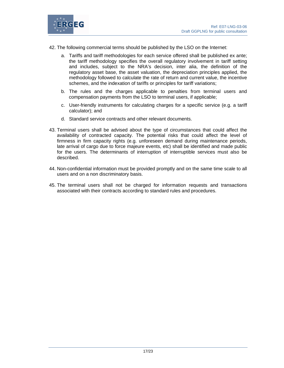

42. The following commercial terms should be published by the LSO on the Internet:

- a. Tariffs and tariff methodologies for each service offered shall be published ex ante; the tariff methodology specifies the overall regulatory involvement in tariff setting and includes, subject to the NRA's decision, inter alia, the definition of the regulatory asset base, the asset valuation, the depreciation principles applied, the methodology followed to calculate the rate of return and current value, the incentive schemes, and the indexation of tariffs or principles for tariff variations;
- b. The rules and the charges applicable to penalties from terminal users and compensation payments from the LSO to terminal users, if applicable;
- c. User-friendly instruments for calculating charges for a specific service (e.g. a tariff calculator); and
- d. Standard service contracts and other relevant documents.
- 43. Terminal users shall be advised about the type of circumstances that could affect the availability of contracted capacity. The potential risks that could affect the level of firmness in firm capacity rights (e.g. unforeseen demand during maintenance periods, late arrival of cargo due to force majeure events, etc) shall be identified and made public for the users. The determinants of interruption of interruptible services must also be described.
- 44. Non-confidential information must be provided promptly and on the same time scale to all users and on a non discriminatory basis.
- 45. The terminal users shall not be charged for information requests and transactions associated with their contracts according to standard rules and procedures.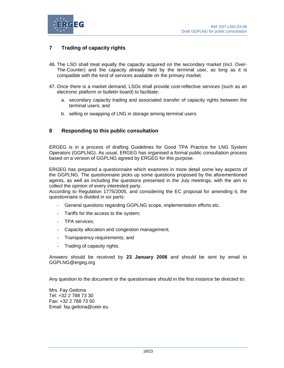

## **7 Trading of capacity rights**

- 46. The LSO shall treat equally the capacity acquired on the secondary market (incl. Over-The-Counter) and the capacity already held by the terminal user, as long as it is compatible with the kind of services available on the primary market.
- 47. Once there is a market demand, LSOs shall provide cost-reflective services (such as an electronic platform or bulletin board) to facilitate:
	- a. secondary capacity trading and associated transfer of capacity rights between the terminal users; and
	- b. selling or swapping of LNG in storage among terminal users.

## **8 Responding to this public consultation**

ERGEG is in a process of drafting Guidelines for Good TPA Practice for LNG System Operators (GGPLNG). As usual, ERGEG has organised a formal public consultation process based on a version of GGPLNG agreed by ERGEG for this purpose.

ERGEG has prepared a questionnaire which examines in more detail some key aspects of the GGPLNG. The questionnaire picks up some questions proposed by the aforementioned agents, as well as including the questions presented in the July meetings, with the aim to collect the opinion of every interested party.

According to Regulation 1775/2005, and considering the EC proposal for amending it, the questionnaire is divided in six parts:

- General questions regarding GGPLNG scope, implementation efforts etc.
- Tariffs for the access to the system;
- TPA services;
- Capacity allocation and congestion management;
- Transparency requirements; and
- Trading of capacity rights.

Answers should be received by **23 January 2008** and should be sent by email to GGPLNG@ergeg.org

Any question to the document or the questionnaire should in the first instance be directed to:

Mrs. Fay Geitona Tel: +32 2 788 73 30 Fax: +32 2 788 73 50 Email: fay.geitona@ceer.eu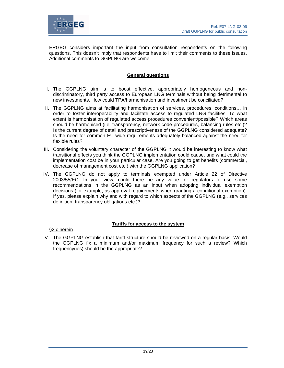

ERGEG considers important the input from consultation respondents on the following questions. This doesn't imply that respondents have to limit their comments to these issues. Additional comments to GGPLNG are welcome.

## **General questions**

- I. The GGPLNG aim is to boost effective, appropriately homogeneous and nondiscriminatory, third party access to European LNG terminals without being detrimental to new investments. How could TPA/harmonisation and investment be conciliated?
- II. The GGPLNG aims at facilitating harmonisation of services, procedures, conditions… in order to foster interoperability and facilitate access to regulated LNG facilities. To what extent is harmonisation of regulated access procedures convenient/possible? Which areas should be harmonised (i.e. transparency, network code procedures, balancing rules etc.)? Is the current degree of detail and prescriptiveness of the GGPLNG considered adequate? Is the need for common EU-wide requirements adequately balanced against the need for flexible rules?
- III. Considering the voluntary character of the GGPLNG it would be interesting to know what transitional effects you think the GGPLNG implementation could cause, and what could the implementation cost be in your particular case. Are you going to get benefits (commercial, decrease of management cost etc.) with the GGPLNG application?
- IV. The GGPLNG do not apply to terminals exempted under Article 22 of Directive 2003/55/EC. In your view, could there be any value for regulators to use some recommendations in the GGPLNG as an input when adopting individual exemption decisions (for example, as approval requirements when granting a conditional exemption). If yes, please explain why and with regard to which aspects of the GGPLNG (e.g., services definition, transparency obligations etc.)?

#### **Tariffs for access to the system**

§2.c herein

V. The GGPLNG establish that tariff structure should be reviewed on a regular basis. Would the GGPLNG fix a minimum and/or maximum frequency for such a review? Which frequency(ies) should be the appropriate?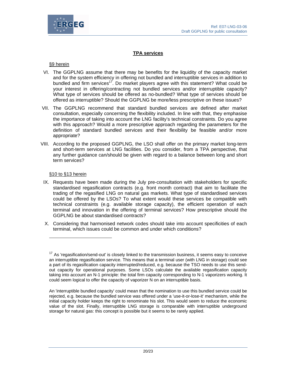



#### **TPA services**

#### §9 herein

- VI. The GGPLNG assume that there may be benefits for the liquidity of the capacity market and for the system efficiency in offering not bundled and interruptible services in addition to bundled and firm services<sup>17</sup>. Do market players agree with this statement? What could be your interest in offering/contracting not bundled services and/or interruptible capacity? What type of services should be offered as no-bundled? What type of services should be offered as interruptible? Should the GGPLNG be more/less prescriptive on these issues?
- VII. The GGPLNG recommend that standard bundled services are defined after market consultation, especially concerning the flexibility included. In line with that, they emphasise the importance of taking into account the LNG facility's technical constraints. Do you agree with this approach? Would a more prescriptive approach regarding the parameters for the definition of standard bundled services and their flexibility be feasible and/or more appropriate?
- VIII. According to the proposed GGPLNG, the LSO shall offer on the primary market long-term and short-term services at LNG facilities. Do you consider, from a TPA perspective, that any further guidance can/should be given with regard to a balance between long and short term services?

#### §10 to §13 herein

 $\overline{a}$ 

- IX. Requests have been made during the July pre-consultation with stakeholders for specific standardised regasification contracts (e.g. front month contract) that aim to facilitate the trading of the regasified LNG on natural gas markets. What type of standardised services could be offered by the LSOs? To what extent would these services be compatible with technical constraints (e.g. available storage capacity), the efficient operation of each terminal and innovation in the offering of terminal services? How prescriptive should the GGPLNG be about standardised contracts?
- X. Considering that harmonised network codes should take into account specificities of each terminal, which issues could be common and under which conditions?

<sup>&</sup>lt;sup>17</sup> As 'regasification/send-out' is closely linked to the transmission business, it seems easy to conceive an interruptible regasification service. This means that a terminal user (with LNG in storage) could see a part of its regasification capacity interrupted/reduced, e.g. because the TSO needs to use this sendout capacity for operational purposes. Some LSOs calculate the available regasification capacity taking into account an N-1 principle: the total firm capacity corresponding to N-1 vaporizers working. It could seem logical to offer the capacity of vaporizer N on an interruptible basis.

An 'interruptible bundled capacity' could mean that the nomination to use this bundled service could be rejected, e.g. because the bundled service was offered under a 'use-it-or-lose-it' mechanism, while the initial capacity holder keeps the right to renominate his slot. This would seem to reduce the economic value of the slot. Finally, interruptible LNG storage is comparable with interruptible underground storage for natural gas: this concept is possible but it seems to be rarely applied.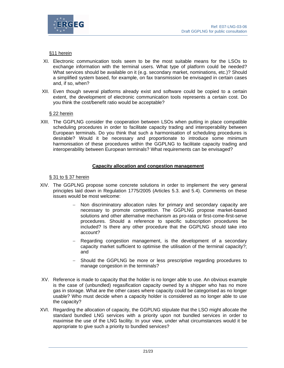

## §11 herein

- XI. Electronic communication tools seem to be the most suitable means for the LSOs to exchange information with the terminal users. What type of platform could be needed? What services should be available on it (e.g. secondary market, nominations, etc.)? Should a simplified system based, for example, on fax transmission be envisaged in certain cases and, if so, when?
- XII. Even though several platforms already exist and software could be copied to a certain extent, the development of electronic communication tools represents a certain cost. Do you think the cost/benefit ratio would be acceptable?

#### § 22 herein

XIII. The GGPLNG consider the cooperation between LSOs when putting in place compatible scheduling procedures in order to facilitate capacity trading and interoperability between European terminals. Do you think that such a harmonisation of scheduling procedures is desirable? Would it be necessary and proportionate to introduce some minimum harmonisation of these procedures within the GGPLNG to facilitate capacity trading and interoperability between European terminals? What requirements can be envisaged?

## **Capacity allocation and congestion management**

#### § 31 to § 37 herein

- XIV. The GGPLNG propose some concrete solutions in order to implement the very general principles laid down in Regulation 1775/2005 (Articles 5.3. and 5.4). Comments on these issues would be most welcome:
	- − Non discriminatory allocation rules for primary and secondary capacity are necessary to promote competition. The GGPLNG propose market-based solutions and other alternative mechanism as pro-rata or first-come-first-serve procedures. Should a reference to specific subscription procedures be included? Is there any other procedure that the GGPLNG should take into account?
	- Regarding congestion management, is the development of a secondary capacity market sufficient to optimise the utilisation of the terminal capacity?; and
	- Should the GGPLNG be more or less prescriptive regarding procedures to manage congestion in the terminals?
- XV. Reference is made to capacity that the holder is no longer able to use. An obvious example is the case of (unbundled) regasification capacity owned by a shipper who has no more gas in storage. What are the other cases where capacity could be categorised as no longer usable? Who must decide when a capacity holder is considered as no longer able to use the capacity?
- XVI. Regarding the allocation of capacity, the GGPLNG stipulate that the LSO might allocate the standard bundled LNG services with a priority upon not bundled services in order to maximise the use of the LNG facility. In your view, under what circumstances would it be appropriate to give such a priority to bundled services?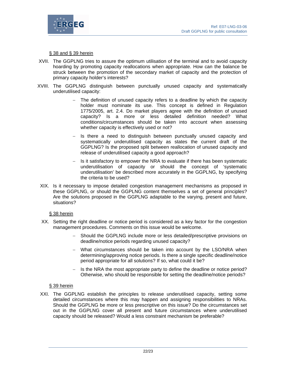

§ 38 and § 39 herein

- XVII. The GGPLNG tries to assure the optimum utilisation of the terminal and to avoid capacity hoarding by promoting capacity reallocations when appropriate. How can the balance be struck between the promotion of the secondary market of capacity and the protection of primary capacity holder's interests?
- XVIII. The GGPLNG distinguish between punctually unused capacity and systematically underutilised capacity:
	- − The definition of unused capacity refers to a deadline by which the capacity holder must nominate its use. This concept is defined in Regulation 1775/2005, art. 2.4. Do market players agree with the definition of unused capacity? Is a more or less detailed definition needed? What conditions/circumstances should be taken into account when assessing whether capacity is effectively used or not?
	- Is there a need to distinguish between punctually unused capacity and systematically underutilised capacity as states the current draft of the GGPLNG? Is the proposed split between reallocation of unused capacity and release of underutilised capacity a good approach?
	- Is it satisfactory to empower the NRA to evaluate if there has been systematic underutilisation of capacity or should the concept of 'systematic underutilisation' be described more accurately in the GGPLNG, by specifying the criteria to be used?
- XIX. Is it necessary to impose detailed congestion management mechanisms as proposed in these GGPLNG, or should the GGPLNG content themselves a set of general principles? Are the solutions proposed in the GGPLNG adaptable to the varying, present and future, situations?

#### § 38 herein

- XX. Setting the right deadline or notice period is considered as a key factor for the congestion management procedures. Comments on this issue would be welcome.
	- − Should the GGPLNG include more or less detailed/prescriptive provisions on deadline/notice periods regarding unused capacity?
	- − What circumstances should be taken into account by the LSO/NRA when determining/approving notice periods. Is there a single specific deadline/notice period appropriate for all solutions? If so, what could it be?
	- − Is the NRA the most appropriate party to define the deadline or notice period? Otherwise, who should be responsible for setting the deadline/notice periods?

#### § 39 herein

XXI. The GGPLNG establish the principles to release underutilised capacity, setting some detailed circumstances where this may happen and assigning responsibilities to NRAs. Should the GGPLNG be more or less prescriptive on this issue? Do the circumstances set out in the GGPLNG cover all present and future circumstances where underutilised capacity should be released? Would a less constraint mechanism be preferable?